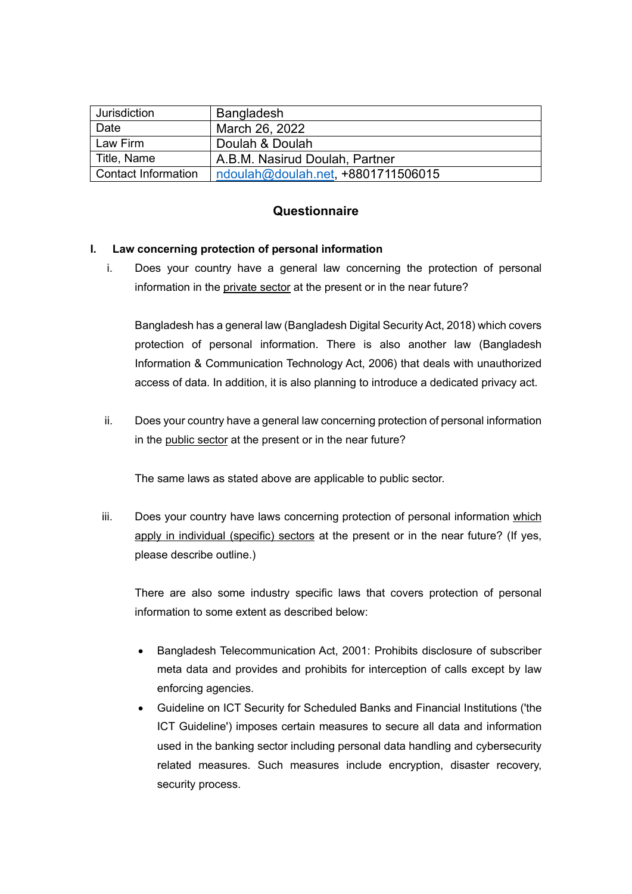| Jurisdiction               | <b>Bangladesh</b>                 |
|----------------------------|-----------------------------------|
| Date                       | March 26, 2022                    |
| Law Firm                   | Doulah & Doulah                   |
| Title, Name                | A.B.M. Nasirud Doulah, Partner    |
| <b>Contact Information</b> | ndoulah@doulah.net +8801711506015 |

# **Questionnaire**

# **I. Law concerning protection of personal information**

i. Does your country have a general law concerning the protection of personal information in the private sector at the present or in the near future?

Bangladesh has a general law (Bangladesh Digital Security Act, 2018) which covers protection of personal information. There is also another law (Bangladesh Information & Communication Technology Act, 2006) that deals with unauthorized access of data. In addition, it is also planning to introduce a dedicated privacy act.

ii. Does your country have a general law concerning protection of personal information in the public sector at the present or in the near future?

The same laws as stated above are applicable to public sector.

iii. Does your country have laws concerning protection of personal information which apply in individual (specific) sectors at the present or in the near future? (If yes, please describe outline.)

There are also some industry specific laws that covers protection of personal information to some extent as described below:

- Bangladesh Telecommunication Act, 2001: Prohibits disclosure of subscriber meta data and provides and prohibits for interception of calls except by law enforcing agencies.
- Guideline on ICT Security for Scheduled Banks and Financial Institutions ('the ICT Guideline') imposes certain measures to secure all data and information used in the banking sector including personal data handling and cybersecurity related measures. Such measures include encryption, disaster recovery, security process.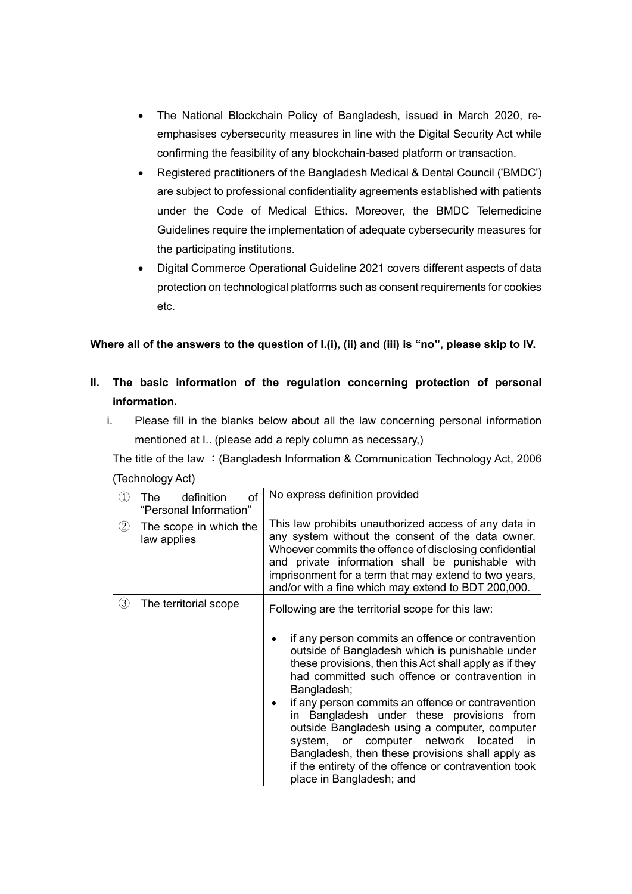- The National Blockchain Policy of Bangladesh, issued in March 2020, reemphasises cybersecurity measures in line with the Digital Security Act while confirming the feasibility of any blockchain-based platform or transaction.
- Registered practitioners of the Bangladesh Medical & Dental Council ('BMDC') are subject to professional confidentiality agreements established with patients under the Code of Medical Ethics. Moreover, the BMDC Telemedicine Guidelines require the implementation of adequate cybersecurity measures for the participating institutions.
- Digital Commerce Operational Guideline 2021 covers different aspects of data protection on technological platforms such as consent requirements for cookies etc.

**Where all of the answers to the question of I.(i), (ii) and (iii) is "no", please skip to IV.**

- **II. The basic information of the regulation concerning protection of personal information.**
	- i. Please fill in the blanks below about all the law concerning personal information mentioned at I.. (please add a reply column as necessary,)

The title of the law : (Bangladesh Information & Communication Technology Act, 2006 (Technology Act)

| $\textcircled{\scriptsize{1}}$ | definition<br>οf<br>The<br>"Personal Information" | No express definition provided                                                                                                                                                                                                                                                                                                                                                                                                                                                                                                                                                                                                |
|--------------------------------|---------------------------------------------------|-------------------------------------------------------------------------------------------------------------------------------------------------------------------------------------------------------------------------------------------------------------------------------------------------------------------------------------------------------------------------------------------------------------------------------------------------------------------------------------------------------------------------------------------------------------------------------------------------------------------------------|
| $^{\circledR}$                 | The scope in which the<br>law applies             | This law prohibits unauthorized access of any data in<br>any system without the consent of the data owner.<br>Whoever commits the offence of disclosing confidential<br>and private information shall be punishable with<br>imprisonment for a term that may extend to two years,<br>and/or with a fine which may extend to BDT 200,000.                                                                                                                                                                                                                                                                                      |
| ③                              | The territorial scope                             | Following are the territorial scope for this law:<br>if any person commits an offence or contravention<br>outside of Bangladesh which is punishable under<br>these provisions, then this Act shall apply as if they<br>had committed such offence or contravention in<br>Bangladesh;<br>if any person commits an offence or contravention<br>in Bangladesh under these provisions from<br>outside Bangladesh using a computer, computer<br>system, or computer network located<br>in.<br>Bangladesh, then these provisions shall apply as<br>if the entirety of the offence or contravention took<br>place in Bangladesh; and |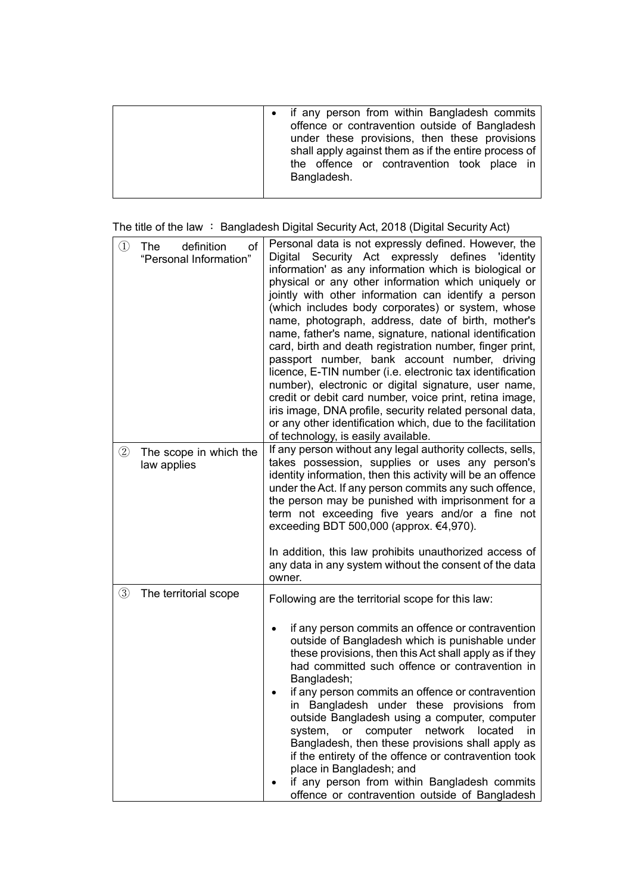| • if any person from within Bangladesh commits<br>offence or contravention outside of Bangladesh<br>under these provisions, then these provisions<br>shall apply against them as if the entire process of<br>the offence or contravention took place in<br>Bangladesh. |
|------------------------------------------------------------------------------------------------------------------------------------------------------------------------------------------------------------------------------------------------------------------------|
|------------------------------------------------------------------------------------------------------------------------------------------------------------------------------------------------------------------------------------------------------------------------|

| The title of the law : Bangladesh Digital Security Act, 2018 (Digital Security Act) |  |  |  |
|-------------------------------------------------------------------------------------|--|--|--|
|                                                                                     |  |  |  |

| $\circled{1}$ | definition<br>The<br>of<br>"Personal Information" | Personal data is not expressly defined. However, the<br>Digital Security Act expressly defines 'identity<br>information' as any information which is biological or<br>physical or any other information which uniquely or<br>jointly with other information can identify a person<br>(which includes body corporates) or system, whose<br>name, photograph, address, date of birth, mother's<br>name, father's name, signature, national identification<br>card, birth and death registration number, finger print,<br>passport number, bank account number, driving<br>licence, E-TIN number (i.e. electronic tax identification<br>number), electronic or digital signature, user name,<br>credit or debit card number, voice print, retina image,<br>iris image, DNA profile, security related personal data,<br>or any other identification which, due to the facilitation<br>of technology, is easily available. |
|---------------|---------------------------------------------------|-----------------------------------------------------------------------------------------------------------------------------------------------------------------------------------------------------------------------------------------------------------------------------------------------------------------------------------------------------------------------------------------------------------------------------------------------------------------------------------------------------------------------------------------------------------------------------------------------------------------------------------------------------------------------------------------------------------------------------------------------------------------------------------------------------------------------------------------------------------------------------------------------------------------------|
| $\circled{2}$ | The scope in which the<br>law applies             | If any person without any legal authority collects, sells,<br>takes possession, supplies or uses any person's<br>identity information, then this activity will be an offence<br>under the Act. If any person commits any such offence,<br>the person may be punished with imprisonment for a<br>term not exceeding five years and/or a fine not<br>exceeding BDT 500,000 (approx. $€4,970$ ).<br>In addition, this law prohibits unauthorized access of<br>any data in any system without the consent of the data<br>owner.                                                                                                                                                                                                                                                                                                                                                                                           |
| $\circled{3}$ | The territorial scope                             | Following are the territorial scope for this law:<br>if any person commits an offence or contravention<br>outside of Bangladesh which is punishable under<br>these provisions, then this Act shall apply as if they<br>had committed such offence or contravention in<br>Bangladesh;<br>if any person commits an offence or contravention<br>in Bangladesh under these provisions<br>from<br>outside Bangladesh using a computer, computer<br>computer<br>network<br>located<br>system,<br>or<br>in.<br>Bangladesh, then these provisions shall apply as<br>if the entirety of the offence or contravention took<br>place in Bangladesh; and<br>if any person from within Bangladesh commits<br>offence or contravention outside of Bangladesh                                                                                                                                                                        |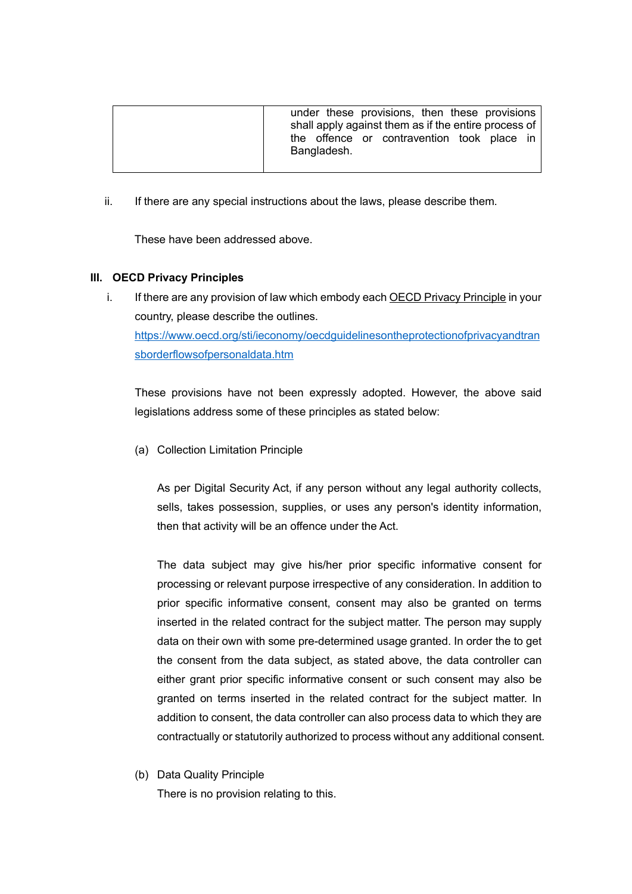| under these provisions, then these provisions<br>shall apply against them as if the entire process of |
|-------------------------------------------------------------------------------------------------------|
| the offence or contravention took place in<br>Bangladesh.                                             |

ii. If there are any special instructions about the laws, please describe them.

These have been addressed above.

# **III. OECD Privacy Principles**

i. If there are any provision of law which embody each OECD Privacy Principle in your country, please describe the outlines. [https://www.oecd.org/sti/ieconomy/oecdguidelinesontheprotectionofprivacyandtran](https://www.oecd.org/sti/ieconomy/oecdguidelinesontheprotectionofprivacyandtransborderflowsofpersonaldata.htm) [sborderflowsofpersonaldata.htm](https://www.oecd.org/sti/ieconomy/oecdguidelinesontheprotectionofprivacyandtransborderflowsofpersonaldata.htm)

These provisions have not been expressly adopted. However, the above said legislations address some of these principles as stated below:

(a) Collection Limitation Principle

As per Digital Security Act, if any person without any legal authority collects, sells, takes possession, supplies, or uses any person's identity information, then that activity will be an offence under the Act.

The data subject may give his/her prior specific informative consent for processing or relevant purpose irrespective of any consideration. In addition to prior specific informative consent, consent may also be granted on terms inserted in the related contract for the subject matter. The person may supply data on their own with some pre-determined usage granted. In order the to get the consent from the data subject, as stated above, the data controller can either grant prior specific informative consent or such consent may also be granted on terms inserted in the related contract for the subject matter. In addition to consent, the data controller can also process data to which they are contractually or statutorily authorized to process without any additional consent.

(b) Data Quality Principle

There is no provision relating to this.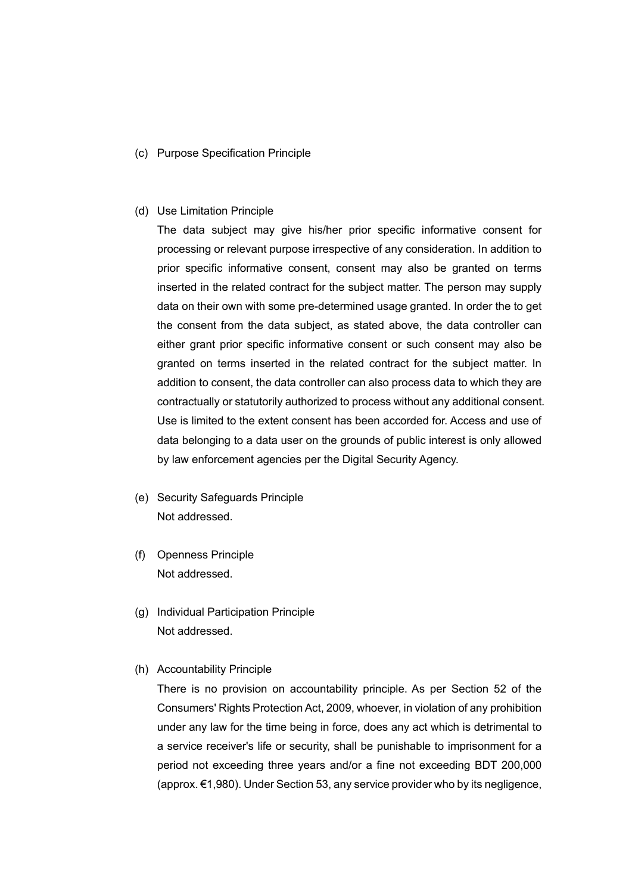(c) Purpose Specification Principle

#### (d) Use Limitation Principle

The data subject may give his/her prior specific informative consent for processing or relevant purpose irrespective of any consideration. In addition to prior specific informative consent, consent may also be granted on terms inserted in the related contract for the subject matter. The person may supply data on their own with some pre-determined usage granted. In order the to get the consent from the data subject, as stated above, the data controller can either grant prior specific informative consent or such consent may also be granted on terms inserted in the related contract for the subject matter. In addition to consent, the data controller can also process data to which they are contractually or statutorily authorized to process without any additional consent. Use is limited to the extent consent has been accorded for. Access and use of data belonging to a data user on the grounds of public interest is only allowed by law enforcement agencies per the Digital Security Agency.

- (e) Security Safeguards Principle Not addressed.
- (f) Openness Principle Not addressed.
- (g) Individual Participation Principle Not addressed.
- (h) Accountability Principle

There is no provision on accountability principle. As per Section 52 of the Consumers' Rights Protection Act, 2009, whoever, in violation of any prohibition under any law for the time being in force, does any act which is detrimental to a service receiver's life or security, shall be punishable to imprisonment for a period not exceeding three years and/or a fine not exceeding BDT 200,000 (approx. €1,980). Under Section 53, any service provider who by its negligence,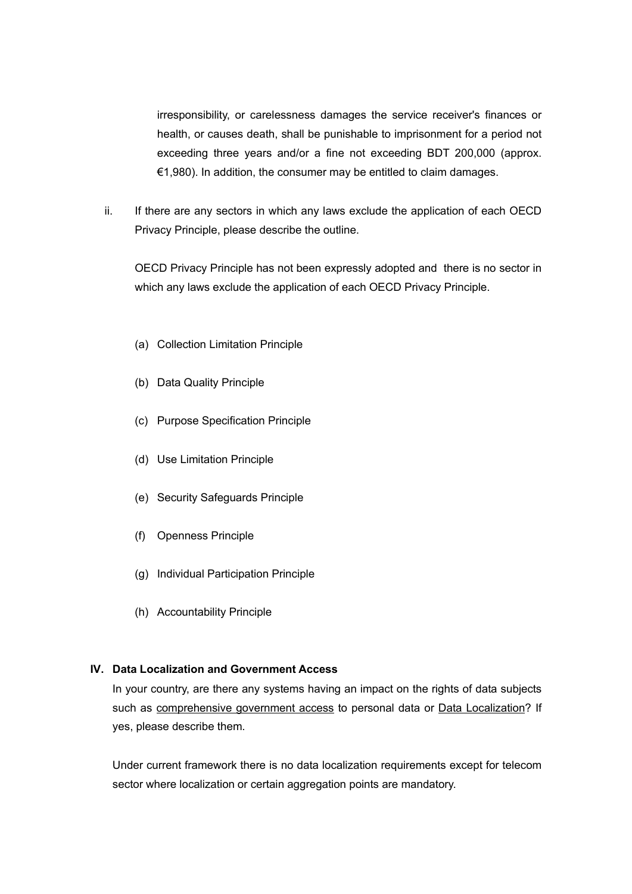irresponsibility, or carelessness damages the service receiver's finances or health, or causes death, shall be punishable to imprisonment for a period not exceeding three years and/or a fine not exceeding BDT 200,000 (approx.  $€1,980$ ). In addition, the consumer may be entitled to claim damages.

ii. If there are any sectors in which any laws exclude the application of each OECD Privacy Principle, please describe the outline.

OECD Privacy Principle has not been expressly adopted and there is no sector in which any laws exclude the application of each OECD Privacy Principle.

- (a) Collection Limitation Principle
- (b) Data Quality Principle
- (c) Purpose Specification Principle
- (d) Use Limitation Principle
- (e) Security Safeguards Principle
- (f) Openness Principle
- (g) Individual Participation Principle
- (h) Accountability Principle

# **IV. Data Localization and Government Access**

In your country, are there any systems having an impact on the rights of data subjects such as comprehensive government access to personal data or Data Localization? If yes, please describe them.

Under current framework there is no data localization requirements except for telecom sector where localization or certain aggregation points are mandatory.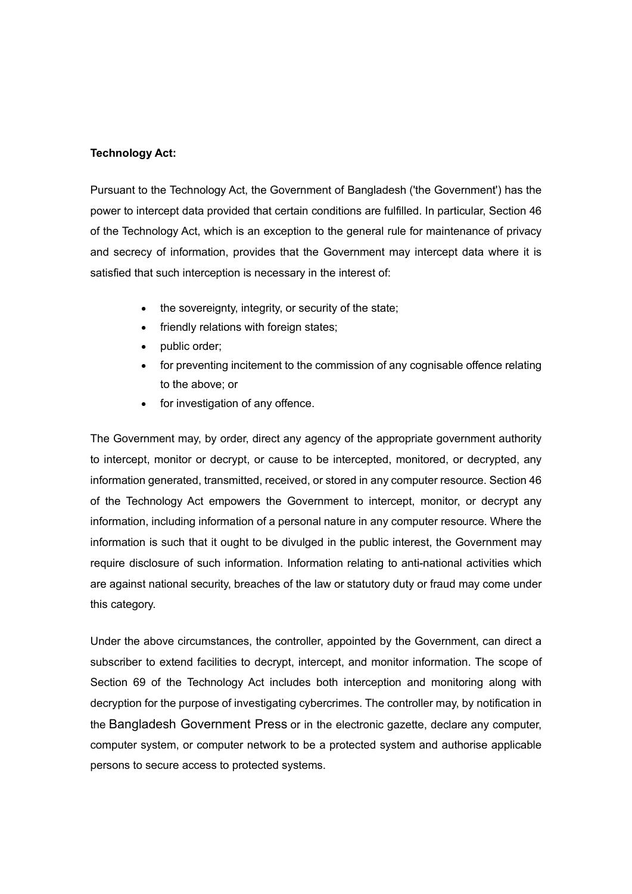## **Technology Act:**

Pursuant to the Technology Act, the [Government of Bangladesh](https://bangladesh.gov.bd/index.php) ('the Government') has the power to intercept data provided that certain conditions are fulfilled. In particular, Section 46 of the Technology Act, which is an exception to the general rule for maintenance of privacy and secrecy of information, provides that the Government may intercept data where it is satisfied that such interception is necessary in the interest of:

- the sovereignty, integrity, or security of the state;
- friendly relations with foreign states;
- public order;
- for preventing incitement to the commission of any cognisable offence relating to the above; or
- for investigation of any offence.

The Government may, by order, direct any agency of the appropriate government authority to intercept, monitor or decrypt, or cause to be intercepted, monitored, or decrypted, any information generated, transmitted, received, or stored in any computer resource. Section 46 of the Technology Act empowers the Government to intercept, monitor, or decrypt any information, including information of a personal nature in any computer resource. Where the information is such that it ought to be divulged in the public interest, the Government may require disclosure of such information. Information relating to anti-national activities which are against national security, breaches of the law or statutory duty or fraud may come under this category.

Under the above circumstances, the controller, appointed by the Government, can direct a subscriber to extend facilities to decrypt, intercept, and monitor information. The scope of Section 69 of the Technology Act includes both interception and monitoring along with decryption for the purpose of investigating cybercrimes. The controller may, by notification in the [Bangladesh Government Press](https://www.dpp.gov.bd/bgpress/index.php/document/gazettes/140) or in the electronic gazette, declare any computer, computer system, or computer network to be a protected system and authorise applicable persons to secure access to protected systems.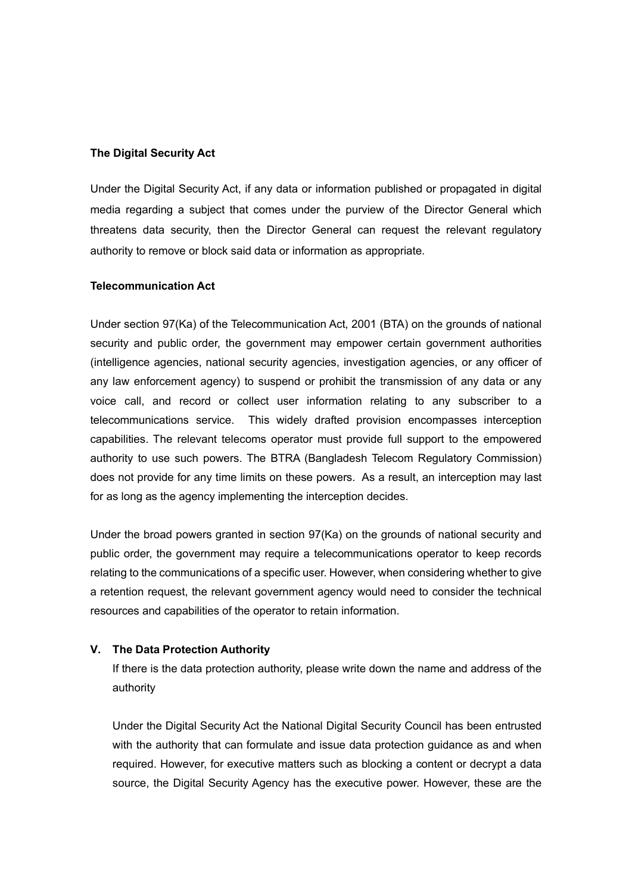## **The Digital Security Act**

Under the Digital Security Act, if any data or information published or propagated in digital media regarding a subject that comes under the purview of the Director General which threatens data security, then the Director General can request the relevant regulatory authority to remove or block said data or information as appropriate.

#### **Telecommunication Act**

Under section 97(Ka) of the Telecommunication Act, 2001 (BTA) on the grounds of national security and public order, the government may empower certain government authorities (intelligence agencies, national security agencies, investigation agencies, or any officer of any law enforcement agency) to suspend or prohibit the transmission of any data or any voice call, and record or collect user information relating to any subscriber to a telecommunications service. This widely drafted provision encompasses interception capabilities. The relevant telecoms operator must provide full support to the empowered authority to use such powers. The BTRA (Bangladesh Telecom Regulatory Commission) does not provide for any time limits on these powers. As a result, an interception may last for as long as the agency implementing the interception decides.

Under the broad powers granted in section 97(Ka) on the grounds of national security and public order, the government may require a telecommunications operator to keep records relating to the communications of a specific user. However, when considering whether to give a retention request, the relevant government agency would need to consider the technical resources and capabilities of the operator to retain information.

## **V. The Data Protection Authority**

If there is the data protection authority, please write down the name and address of the authority

Under the Digital Security Act the National Digital Security Council has been entrusted with the authority that can formulate and issue data protection guidance as and when required. However, for executive matters such as blocking a content or decrypt a data source, the Digital Security Agency has the executive power. However, these are the